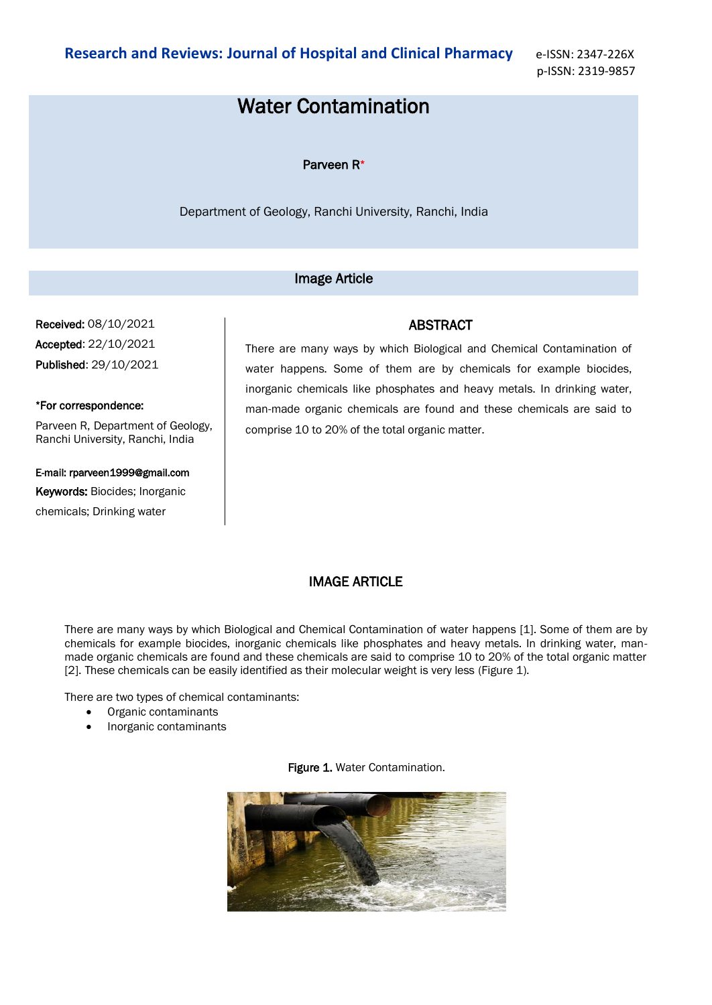p-ISSN: 2319-9857

# Water Contamination

### Parveen R\*

Department of Geology, Ranchi University, Ranchi, India

## Image Article

Received: 08/10/2021 Accepted: 22/10/2021 Published: 29/10/2021

## \*For correspondence:

Parveen R, Department of Geology, Ranchi University, Ranchi, India

# E-mail: rparveen1999@gmail.com

Keywords: Biocides; Inorganic chemicals; Drinking water

There are many ways by which Biological and Chemical Contamination of water happens. Some of them are by chemicals for example biocides, inorganic chemicals like phosphates and heavy metals. In drinking water, man-made organic chemicals are found and these chemicals are said to

ABSTRACT

## IMAGE ARTICLE

comprise 10 to 20% of the total organic matter.

There are many ways by which Biological and Chemical Contamination of water happens [1]. Some of them are by chemicals for example biocides, inorganic chemicals like phosphates and heavy metals. In drinking water, manmade organic chemicals are found and these chemicals are said to comprise 10 to 20% of the total organic matter [2]. These chemicals can be easily identified as their molecular weight is very less (Figure 1).

There are two types of chemical contaminants:

- Organic contaminants
- Inorganic contaminants

#### Figure 1. Water Contamination.

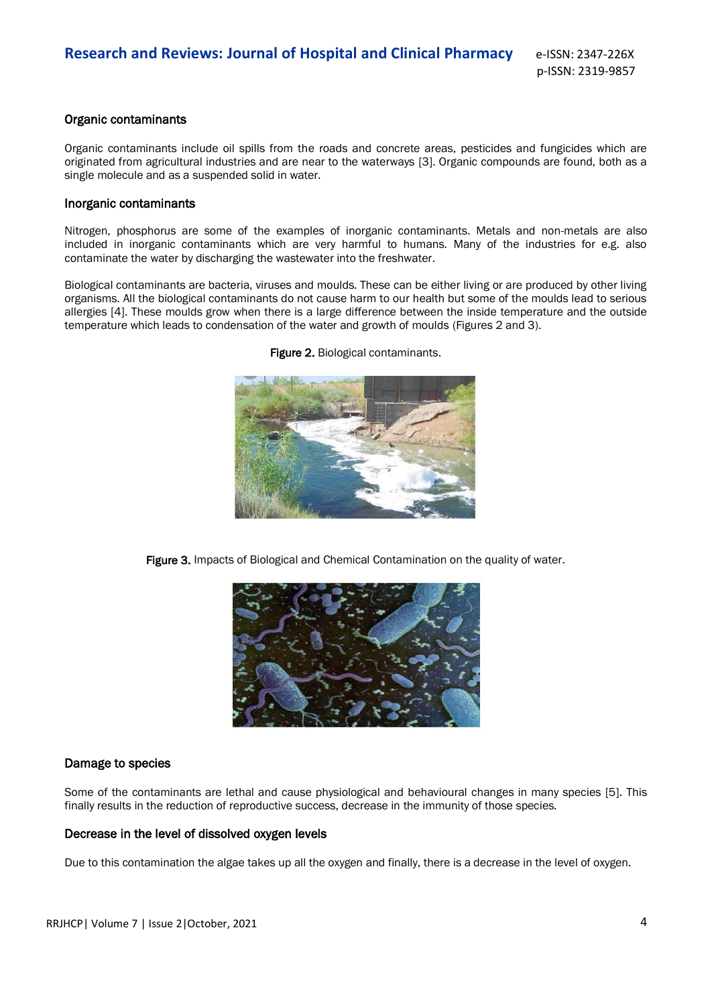## Organic contaminants

Organic contaminants include oil spills from the roads and concrete areas, pesticides and fungicides which are originated from agricultural industries and are near to the waterways [3]. Organic compounds are found, both as a single molecule and as a suspended solid in water.

#### Inorganic contaminants

Nitrogen, phosphorus are some of the examples of inorganic contaminants. Metals and non-metals are also included in inorganic contaminants which are very harmful to humans. Many of the industries for e.g. also contaminate the water by discharging the wastewater into the freshwater.

Biological contaminants are bacteria, viruses and moulds. These can be either living or are produced by other living organisms. All the biological contaminants do not cause harm to our health but some of the moulds lead to serious allergies [4]. These moulds grow when there is a large difference between the inside temperature and the outside temperature which leads to condensation of the water and growth of moulds (Figures 2 and 3).



Figure 2. Biological contaminants.

Figure 3. Impacts of Biological and Chemical Contamination on the quality of water.



## Damage to species

Some of the contaminants are lethal and cause physiological and behavioural changes in many species [5]. This finally results in the reduction of reproductive success, decrease in the immunity of those species.

## Decrease in the level of dissolved oxygen levels

Due to this contamination the algae takes up all the oxygen and finally, there is a decrease in the level of oxygen.